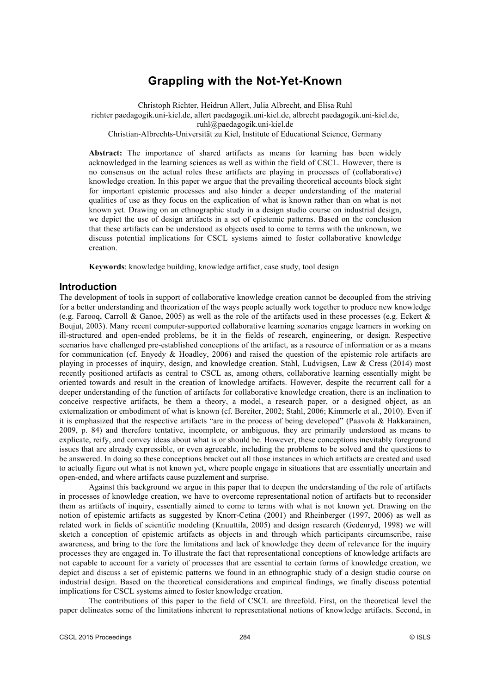# **Grappling with the Not-Yet-Known**

Christoph Richter, Heidrun Allert, Julia Albrecht, and Elisa Ruhl richter paedagogik.uni-kiel.de, allert paedagogik.uni-kiel.de, albrecht paedagogik.uni-kiel.de, ruhl@paedagogik.uni-kiel.de Christian-Albrechts-Universität zu Kiel, Institute of Educational Science, Germany

**Abstract:** The importance of shared artifacts as means for learning has been widely acknowledged in the learning sciences as well as within the field of CSCL. However, there is no consensus on the actual roles these artifacts are playing in processes of (collaborative) knowledge creation. In this paper we argue that the prevailing theoretical accounts block sight for important epistemic processes and also hinder a deeper understanding of the material qualities of use as they focus on the explication of what is known rather than on what is not known yet. Drawing on an ethnographic study in a design studio course on industrial design, we depict the use of design artifacts in a set of epistemic patterns. Based on the conclusion that these artifacts can be understood as objects used to come to terms with the unknown, we discuss potential implications for CSCL systems aimed to foster collaborative knowledge creation.

**Keywords**: knowledge building, knowledge artifact, case study, tool design

## **Introduction**

The development of tools in support of collaborative knowledge creation cannot be decoupled from the striving for a better understanding and theorization of the ways people actually work together to produce new knowledge (e.g. Farooq, Carroll & Ganoe, 2005) as well as the role of the artifacts used in these processes (e.g. Eckert & Boujut, 2003). Many recent computer-supported collaborative learning scenarios engage learners in working on ill-structured and open-ended problems, be it in the fields of research, engineering, or design. Respective scenarios have challenged pre-established conceptions of the artifact, as a resource of information or as a means for communication (cf. Enyedy & Hoadley, 2006) and raised the question of the epistemic role artifacts are playing in processes of inquiry, design, and knowledge creation. Stahl, Ludvigsen, Law & Cress (2014) most recently positioned artifacts as central to CSCL as, among others, collaborative learning essentially might be oriented towards and result in the creation of knowledge artifacts. However, despite the recurrent call for a deeper understanding of the function of artifacts for collaborative knowledge creation, there is an inclination to conceive respective artifacts, be them a theory, a model, a research paper, or a designed object, as an externalization or embodiment of what is known (cf. Bereiter, 2002; Stahl, 2006; Kimmerle et al., 2010). Even if it is emphasized that the respective artifacts "are in the process of being developed" (Paavola & Hakkarainen, 2009, p. 84) and therefore tentative, incomplete, or ambiguous, they are primarily understood as means to explicate, reify, and convey ideas about what is or should be. However, these conceptions inevitably foreground issues that are already expressible, or even agreeable, including the problems to be solved and the questions to be answered. In doing so these conceptions bracket out all those instances in which artifacts are created and used to actually figure out what is not known yet, where people engage in situations that are essentially uncertain and open-ended, and where artifacts cause puzzlement and surprise.

Against this background we argue in this paper that to deepen the understanding of the role of artifacts in processes of knowledge creation, we have to overcome representational notion of artifacts but to reconsider them as artifacts of inquiry, essentially aimed to come to terms with what is not known yet. Drawing on the notion of epistemic artifacts as suggested by Knorr-Cetina (2001) and Rheinberger (1997, 2006) as well as related work in fields of scientific modeling (Knuuttila, 2005) and design research (Gedenryd, 1998) we will sketch a conception of epistemic artifacts as objects in and through which participants circumscribe, raise awareness, and bring to the fore the limitations and lack of knowledge they deem of relevance for the inquiry processes they are engaged in. To illustrate the fact that representational conceptions of knowledge artifacts are not capable to account for a variety of processes that are essential to certain forms of knowledge creation, we depict and discuss a set of epistemic patterns we found in an ethnographic study of a design studio course on industrial design. Based on the theoretical considerations and empirical findings, we finally discuss potential implications for CSCL systems aimed to foster knowledge creation.

The contributions of this paper to the field of CSCL are threefold. First, on the theoretical level the paper delineates some of the limitations inherent to representational notions of knowledge artifacts. Second, in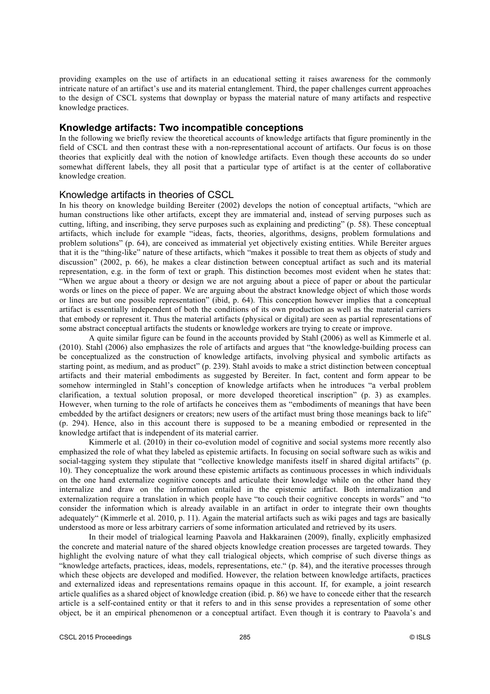providing examples on the use of artifacts in an educational setting it raises awareness for the commonly intricate nature of an artifact's use and its material entanglement. Third, the paper challenges current approaches to the design of CSCL systems that downplay or bypass the material nature of many artifacts and respective knowledge practices.

### **Knowledge artifacts: Two incompatible conceptions**

In the following we briefly review the theoretical accounts of knowledge artifacts that figure prominently in the field of CSCL and then contrast these with a non-representational account of artifacts. Our focus is on those theories that explicitly deal with the notion of knowledge artifacts. Even though these accounts do so under somewhat different labels, they all posit that a particular type of artifact is at the center of collaborative knowledge creation.

### Knowledge artifacts in theories of CSCL

In his theory on knowledge building Bereiter (2002) develops the notion of conceptual artifacts, "which are human constructions like other artifacts, except they are immaterial and, instead of serving purposes such as cutting, lifting, and inscribing, they serve purposes such as explaining and predicting" (p. 58). These conceptual artifacts, which include for example "ideas, facts, theories, algorithms, designs, problem formulations and problem solutions" (p. 64), are conceived as immaterial yet objectively existing entities. While Bereiter argues that it is the "thing-like" nature of these artifacts, which "makes it possible to treat them as objects of study and discussion" (2002, p. 66), he makes a clear distinction between conceptual artifact as such and its material representation, e.g. in the form of text or graph. This distinction becomes most evident when he states that: "When we argue about a theory or design we are not arguing about a piece of paper or about the particular words or lines on the piece of paper. We are arguing about the abstract knowledge object of which those words or lines are but one possible representation" (ibid, p. 64). This conception however implies that a conceptual artifact is essentially independent of both the conditions of its own production as well as the material carriers that embody or represent it. Thus the material artifacts (physical or digital) are seen as partial representations of some abstract conceptual artifacts the students or knowledge workers are trying to create or improve.

A quite similar figure can be found in the accounts provided by Stahl (2006) as well as Kimmerle et al. (2010). Stahl (2006) also emphasizes the role of artifacts and argues that "the knowledge-building process can be conceptualized as the construction of knowledge artifacts, involving physical and symbolic artifacts as starting point, as medium, and as product" (p. 239). Stahl avoids to make a strict distinction between conceptual artifacts and their material embodiments as suggested by Bereiter. In fact, content and form appear to be somehow intermingled in Stahl's conception of knowledge artifacts when he introduces "a verbal problem clarification, a textual solution proposal, or more developed theoretical inscription" (p. 3) as examples. However, when turning to the role of artifacts he conceives them as "embodiments of meanings that have been embedded by the artifact designers or creators; new users of the artifact must bring those meanings back to life" (p. 294). Hence, also in this account there is supposed to be a meaning embodied or represented in the knowledge artifact that is independent of its material carrier.

Kimmerle et al. (2010) in their co-evolution model of cognitive and social systems more recently also emphasized the role of what they labeled as epistemic artifacts. In focusing on social software such as wikis and social-tagging system they stipulate that "collective knowledge manifests itself in shared digital artifacts" (p. 10). They conceptualize the work around these epistemic artifacts as continuous processes in which individuals on the one hand externalize cognitive concepts and articulate their knowledge while on the other hand they internalize and draw on the information entailed in the epistemic artifact. Both internalization and externalization require a translation in which people have "to couch their cognitive concepts in words" and "to consider the information which is already available in an artifact in order to integrate their own thoughts adequately" (Kimmerle et al. 2010, p. 11). Again the material artifacts such as wiki pages and tags are basically understood as more or less arbitrary carriers of some information articulated and retrieved by its users.

In their model of trialogical learning Paavola and Hakkarainen (2009), finally, explicitly emphasized the concrete and material nature of the shared objects knowledge creation processes are targeted towards. They highlight the evolving nature of what they call trialogical objects, which comprise of such diverse things as "knowledge artefacts, practices, ideas, models, representations, etc." (p. 84), and the iterative processes through which these objects are developed and modified. However, the relation between knowledge artifacts, practices and externalized ideas and representations remains opaque in this account. If, for example, a joint research article qualifies as a shared object of knowledge creation (ibid. p. 86) we have to concede either that the research article is a self-contained entity or that it refers to and in this sense provides a representation of some other object, be it an empirical phenomenon or a conceptual artifact. Even though it is contrary to Paavola's and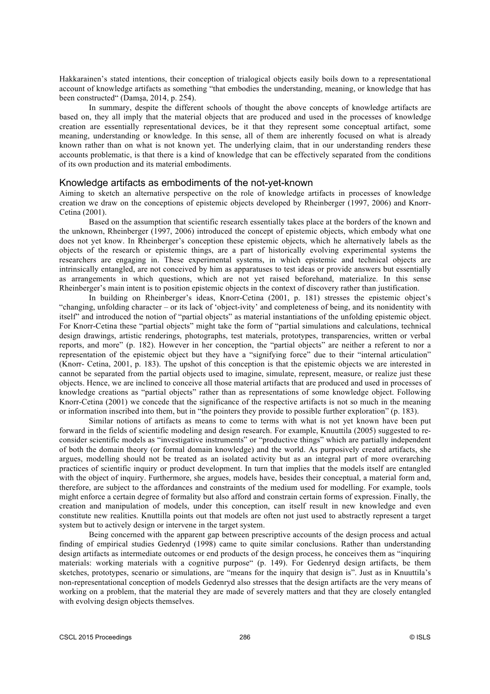Hakkarainen's stated intentions, their conception of trialogical objects easily boils down to a representational account of knowledge artifacts as something "that embodies the understanding, meaning, or knowledge that has been constructed" (Damşa, 2014, p. 254).

In summary, despite the different schools of thought the above concepts of knowledge artifacts are based on, they all imply that the material objects that are produced and used in the processes of knowledge creation are essentially representational devices, be it that they represent some conceptual artifact, some meaning, understanding or knowledge. In this sense, all of them are inherently focused on what is already known rather than on what is not known yet. The underlying claim, that in our understanding renders these accounts problematic, is that there is a kind of knowledge that can be effectively separated from the conditions of its own production and its material embodiments.

#### Knowledge artifacts as embodiments of the not-yet-known

Aiming to sketch an alternative perspective on the role of knowledge artifacts in processes of knowledge creation we draw on the conceptions of epistemic objects developed by Rheinberger (1997, 2006) and Knorr-Cetina (2001).

Based on the assumption that scientific research essentially takes place at the borders of the known and the unknown, Rheinberger (1997, 2006) introduced the concept of epistemic objects, which embody what one does not yet know. In Rheinberger's conception these epistemic objects, which he alternatively labels as the objects of the research or epistemic things, are a part of historically evolving experimental systems the researchers are engaging in. These experimental systems, in which epistemic and technical objects are intrinsically entangled, are not conceived by him as apparatuses to test ideas or provide answers but essentially as arrangements in which questions, which are not yet raised beforehand, materialize. In this sense Rheinberger's main intent is to position epistemic objects in the context of discovery rather than justification.

In building on Rheinberger's ideas, Knorr-Cetina (2001, p. 181) stresses the epistemic object's "changing, unfolding character – or its lack of 'object-ivity' and completeness of being, and its nonidentity with itself" and introduced the notion of "partial objects" as material instantiations of the unfolding epistemic object. For Knorr-Cetina these "partial objects" might take the form of "partial simulations and calculations, technical design drawings, artistic renderings, photographs, test materials, prototypes, transparencies, written or verbal reports, and more" (p. 182). However in her conception, the "partial objects" are neither a referent to nor a representation of the epistemic object but they have a "signifying force" due to their "internal articulation" (Knorr- Cetina, 2001, p. 183). The upshot of this conception is that the epistemic objects we are interested in cannot be separated from the partial objects used to imagine, simulate, represent, measure, or realize just these objects. Hence, we are inclined to conceive all those material artifacts that are produced and used in processes of knowledge creations as "partial objects" rather than as representations of some knowledge object. Following Knorr-Cetina (2001) we concede that the significance of the respective artifacts is not so much in the meaning or information inscribed into them, but in "the pointers they provide to possible further exploration" (p. 183).

Similar notions of artifacts as means to come to terms with what is not yet known have been put forward in the fields of scientific modeling and design research. For example, Knuuttila (2005) suggested to reconsider scientific models as "investigative instruments" or "productive things" which are partially independent of both the domain theory (or formal domain knowledge) and the world. As purposively created artifacts, she argues, modelling should not be treated as an isolated activity but as an integral part of more overarching practices of scientific inquiry or product development. In turn that implies that the models itself are entangled with the object of inquiry. Furthermore, she argues, models have, besides their conceptual, a material form and, therefore, are subject to the affordances and constraints of the medium used for modelling. For example, tools might enforce a certain degree of formality but also afford and constrain certain forms of expression. Finally, the creation and manipulation of models, under this conception, can itself result in new knowledge and even constitute new realities. Knuttilla points out that models are often not just used to abstractly represent a target system but to actively design or intervene in the target system.

Being concerned with the apparent gap between prescriptive accounts of the design process and actual finding of empirical studies Gedenryd (1998) came to quite similar conclusions. Rather than understanding design artifacts as intermediate outcomes or end products of the design process, he conceives them as "inquiring materials: working materials with a cognitive purpose" (p. 149). For Gedenryd design artifacts, be them sketches, prototypes, scenario or simulations, are "means for the inquiry that design is". Just as in Knuuttila's non-representational conception of models Gedenryd also stresses that the design artifacts are the very means of working on a problem, that the material they are made of severely matters and that they are closely entangled with evolving design objects themselves.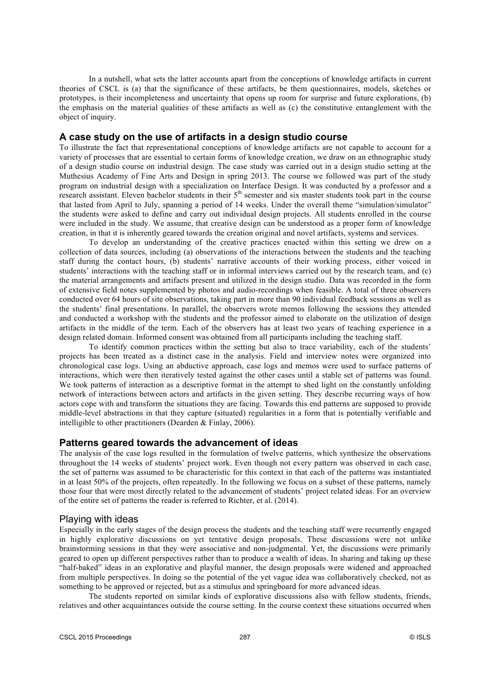In a nutshell, what sets the latter accounts apart from the conceptions of knowledge artifacts in current theories of CSCL is (a) that the significance of these artifacts, be them questionnaires, models, sketches or prototypes, is their incompleteness and uncertainty that opens up room for surprise and future explorations, (b) the emphasis on the material qualities of these artifacts as well as (c) the constitutive entanglement with the object of inquiry.

## **A case study on the use of artifacts in a design studio course**

To illustrate the fact that representational conceptions of knowledge artifacts are not capable to account for a variety of processes that are essential to certain forms of knowledge creation, we draw on an ethnographic study of a design studio course on industrial design. The case study was carried out in a design studio setting at the Muthesius Academy of Fine Arts and Design in spring 2013. The course we followed was part of the study program on industrial design with a specialization on Interface Design. It was conducted by a professor and a research assistant. Eleven bachelor students in their 5<sup>th</sup> semester and six master students took part in the course that lasted from April to July, spanning a period of 14 weeks. Under the overall theme "simulation/simulator" the students were asked to define and carry out individual design projects. All students enrolled in the course were included in the study. We assume, that creative design can be understood as a proper form of knowledge creation, in that it is inherently geared towards the creation original and novel artifacts, systems and services.

To develop an understanding of the creative practices enacted within this setting we drew on a collection of data sources, including (a) observations of the interactions between the students and the teaching staff during the contact hours, (b) students' narrative accounts of their working process, either voiced in students' interactions with the teaching staff or in informal interviews carried out by the research team, and (c) the material arrangements and artifacts present and utilized in the design studio. Data was recorded in the form of extensive field notes supplemented by photos and audio-recordings when feasible. A total of three observers conducted over 64 hours of site observations, taking part in more than 90 individual feedback sessions as well as the students' final presentations. In parallel, the observers wrote memos following the sessions they attended and conducted a workshop with the students and the professor aimed to elaborate on the utilization of design artifacts in the middle of the term. Each of the observers has at least two years of teaching experience in a design related domain. Informed consent was obtained from all participants including the teaching staff.

To identify common practices within the setting but also to trace variability, each of the students' projects has been treated as a distinct case in the analysis. Field and interview notes were organized into chronological case logs. Using an abductive approach, case logs and memos were used to surface patterns of interactions, which were then iteratively tested against the other cases until a stable set of patterns was found. We took patterns of interaction as a descriptive format in the attempt to shed light on the constantly unfolding network of interactions between actors and artifacts in the given setting. They describe recurring ways of how actors cope with and transform the situations they are facing. Towards this end patterns are supposed to provide middle-level abstractions in that they capture (situated) regularities in a form that is potentially verifiable and intelligible to other practitioners (Dearden & Finlay, 2006).

## **Patterns geared towards the advancement of ideas**

The analysis of the case logs resulted in the formulation of twelve patterns, which synthesize the observations throughout the 14 weeks of students' project work. Even though not every pattern was observed in each case, the set of patterns was assumed to be characteristic for this context in that each of the patterns was instantiated in at least 50% of the projects, often repeatedly. In the following we focus on a subset of these patterns, namely those four that were most directly related to the advancement of students' project related ideas. For an overview of the entire set of patterns the reader is referred to Richter, et al. (2014).

#### Playing with ideas

Especially in the early stages of the design process the students and the teaching staff were recurrently engaged in highly explorative discussions on yet tentative design proposals. These discussions were not unlike brainstorming sessions in that they were associative and non-judgmental. Yet, the discussions were primarily geared to open up different perspectives rather than to produce a wealth of ideas. In sharing and taking up these "half-baked" ideas in an explorative and playful manner, the design proposals were widened and approached from multiple perspectives. In doing so the potential of the yet vague idea was collaboratively checked, not as something to be approved or rejected, but as a stimulus and springboard for more advanced ideas.

The students reported on similar kinds of explorative discussions also with fellow students, friends, relatives and other acquaintances outside the course setting. In the course context these situations occurred when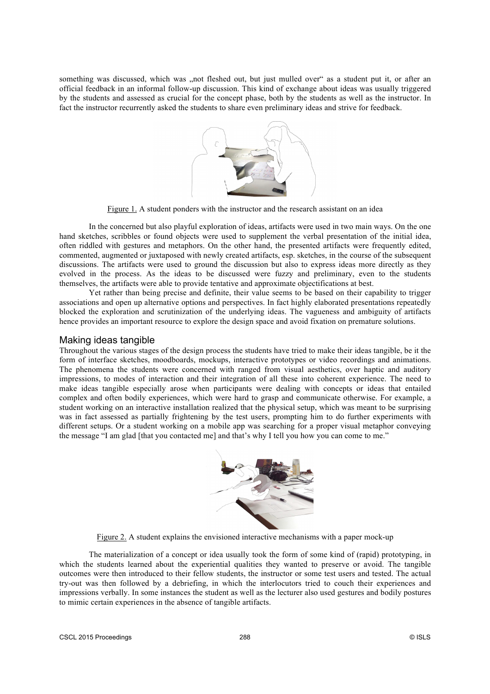something was discussed, which was "not fleshed out, but just mulled over" as a student put it, or after an official feedback in an informal follow-up discussion. This kind of exchange about ideas was usually triggered by the students and assessed as crucial for the concept phase, both by the students as well as the instructor. In fact the instructor recurrently asked the students to share even preliminary ideas and strive for feedback.



Figure 1. A student ponders with the instructor and the research assistant on an idea

In the concerned but also playful exploration of ideas, artifacts were used in two main ways. On the one hand sketches, scribbles or found objects were used to supplement the verbal presentation of the initial idea, often riddled with gestures and metaphors. On the other hand, the presented artifacts were frequently edited, commented, augmented or juxtaposed with newly created artifacts, esp. sketches, in the course of the subsequent discussions. The artifacts were used to ground the discussion but also to express ideas more directly as they evolved in the process. As the ideas to be discussed were fuzzy and preliminary, even to the students themselves, the artifacts were able to provide tentative and approximate objectifications at best.

Yet rather than being precise and definite, their value seems to be based on their capability to trigger associations and open up alternative options and perspectives. In fact highly elaborated presentations repeatedly blocked the exploration and scrutinization of the underlying ideas. The vagueness and ambiguity of artifacts hence provides an important resource to explore the design space and avoid fixation on premature solutions.

## Making ideas tangible

Throughout the various stages of the design process the students have tried to make their ideas tangible, be it the form of interface sketches, moodboards, mockups, interactive prototypes or video recordings and animations. The phenomena the students were concerned with ranged from visual aesthetics, over haptic and auditory impressions, to modes of interaction and their integration of all these into coherent experience. The need to make ideas tangible especially arose when participants were dealing with concepts or ideas that entailed complex and often bodily experiences, which were hard to grasp and communicate otherwise. For example, a student working on an interactive installation realized that the physical setup, which was meant to be surprising was in fact assessed as partially frightening by the test users, prompting him to do further experiments with different setups. Or a student working on a mobile app was searching for a proper visual metaphor conveying the message "I am glad [that you contacted me] and that's why I tell you how you can come to me."



Figure 2. A student explains the envisioned interactive mechanisms with a paper mock-up

The materialization of a concept or idea usually took the form of some kind of (rapid) prototyping, in which the students learned about the experiential qualities they wanted to preserve or avoid. The tangible outcomes were then introduced to their fellow students, the instructor or some test users and tested. The actual try-out was then followed by a debriefing, in which the interlocutors tried to couch their experiences and impressions verbally. In some instances the student as well as the lecturer also used gestures and bodily postures to mimic certain experiences in the absence of tangible artifacts.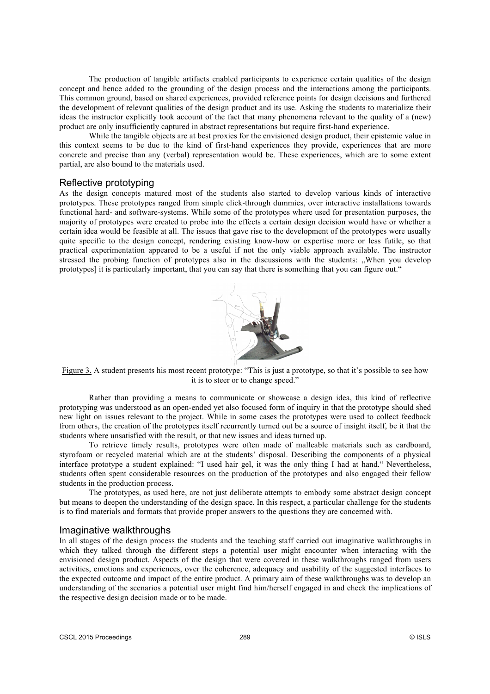The production of tangible artifacts enabled participants to experience certain qualities of the design concept and hence added to the grounding of the design process and the interactions among the participants. This common ground, based on shared experiences, provided reference points for design decisions and furthered the development of relevant qualities of the design product and its use. Asking the students to materialize their ideas the instructor explicitly took account of the fact that many phenomena relevant to the quality of a (new) product are only insufficiently captured in abstract representations but require first-hand experience.

While the tangible objects are at best proxies for the envisioned design product, their epistemic value in this context seems to be due to the kind of first-hand experiences they provide, experiences that are more concrete and precise than any (verbal) representation would be. These experiences, which are to some extent partial, are also bound to the materials used.

#### Reflective prototyping

As the design concepts matured most of the students also started to develop various kinds of interactive prototypes. These prototypes ranged from simple click-through dummies, over interactive installations towards functional hard- and software-systems. While some of the prototypes where used for presentation purposes, the majority of prototypes were created to probe into the effects a certain design decision would have or whether a certain idea would be feasible at all. The issues that gave rise to the development of the prototypes were usually quite specific to the design concept, rendering existing know-how or expertise more or less futile, so that practical experimentation appeared to be a useful if not the only viable approach available. The instructor stressed the probing function of prototypes also in the discussions with the students: "When you develop prototypes] it is particularly important, that you can say that there is something that you can figure out."



Figure 3. A student presents his most recent prototype: "This is just a prototype, so that it's possible to see how it is to steer or to change speed."

Rather than providing a means to communicate or showcase a design idea, this kind of reflective prototyping was understood as an open-ended yet also focused form of inquiry in that the prototype should shed new light on issues relevant to the project. While in some cases the prototypes were used to collect feedback from others, the creation of the prototypes itself recurrently turned out be a source of insight itself, be it that the students where unsatisfied with the result, or that new issues and ideas turned up.

To retrieve timely results, prototypes were often made of malleable materials such as cardboard, styrofoam or recycled material which are at the students' disposal. Describing the components of a physical interface prototype a student explained: "I used hair gel, it was the only thing I had at hand." Nevertheless, students often spent considerable resources on the production of the prototypes and also engaged their fellow students in the production process.

The prototypes, as used here, are not just deliberate attempts to embody some abstract design concept but means to deepen the understanding of the design space. In this respect, a particular challenge for the students is to find materials and formats that provide proper answers to the questions they are concerned with.

## Imaginative walkthroughs

In all stages of the design process the students and the teaching staff carried out imaginative walkthroughs in which they talked through the different steps a potential user might encounter when interacting with the envisioned design product. Aspects of the design that were covered in these walkthroughs ranged from users activities, emotions and experiences, over the coherence, adequacy and usability of the suggested interfaces to the expected outcome and impact of the entire product. A primary aim of these walkthroughs was to develop an understanding of the scenarios a potential user might find him/herself engaged in and check the implications of the respective design decision made or to be made.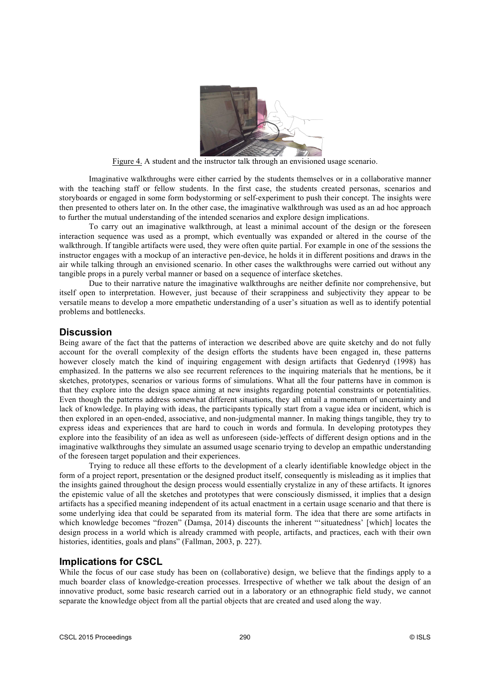

Figure 4. A student and the instructor talk through an envisioned usage scenario.

Imaginative walkthroughs were either carried by the students themselves or in a collaborative manner with the teaching staff or fellow students. In the first case, the students created personas, scenarios and storyboards or engaged in some form bodystorming or self-experiment to push their concept. The insights were then presented to others later on. In the other case, the imaginative walkthrough was used as an ad hoc approach to further the mutual understanding of the intended scenarios and explore design implications.

To carry out an imaginative walkthrough, at least a minimal account of the design or the foreseen interaction sequence was used as a prompt, which eventually was expanded or altered in the course of the walkthrough. If tangible artifacts were used, they were often quite partial. For example in one of the sessions the instructor engages with a mockup of an interactive pen-device, he holds it in different positions and draws in the air while talking through an envisioned scenario. In other cases the walkthroughs were carried out without any tangible props in a purely verbal manner or based on a sequence of interface sketches.

Due to their narrative nature the imaginative walkthroughs are neither definite nor comprehensive, but itself open to interpretation. However, just because of their scrappiness and subjectivity they appear to be versatile means to develop a more empathetic understanding of a user's situation as well as to identify potential problems and bottlenecks.

#### **Discussion**

Being aware of the fact that the patterns of interaction we described above are quite sketchy and do not fully account for the overall complexity of the design efforts the students have been engaged in, these patterns however closely match the kind of inquiring engagement with design artifacts that Gedenryd (1998) has emphasized. In the patterns we also see recurrent references to the inquiring materials that he mentions, be it sketches, prototypes, scenarios or various forms of simulations. What all the four patterns have in common is that they explore into the design space aiming at new insights regarding potential constraints or potentialities. Even though the patterns address somewhat different situations, they all entail a momentum of uncertainty and lack of knowledge. In playing with ideas, the participants typically start from a vague idea or incident, which is then explored in an open-ended, associative, and non-judgmental manner. In making things tangible, they try to express ideas and experiences that are hard to couch in words and formula. In developing prototypes they explore into the feasibility of an idea as well as unforeseen (side-)effects of different design options and in the imaginative walkthroughs they simulate an assumed usage scenario trying to develop an empathic understanding of the foreseen target population and their experiences.

Trying to reduce all these efforts to the development of a clearly identifiable knowledge object in the form of a project report, presentation or the designed product itself, consequently is misleading as it implies that the insights gained throughout the design process would essentially crystalize in any of these artifacts. It ignores the epistemic value of all the sketches and prototypes that were consciously dismissed, it implies that a design artifacts has a specified meaning independent of its actual enactment in a certain usage scenario and that there is some underlying idea that could be separated from its material form. The idea that there are some artifacts in which knowledge becomes "frozen" (Damşa, 2014) discounts the inherent "'situatedness' [which] locates the design process in a world which is already crammed with people, artifacts, and practices, each with their own histories, identities, goals and plans" (Fallman, 2003, p. 227).

## **Implications for CSCL**

While the focus of our case study has been on (collaborative) design, we believe that the findings apply to a much boarder class of knowledge-creation processes. Irrespective of whether we talk about the design of an innovative product, some basic research carried out in a laboratory or an ethnographic field study, we cannot separate the knowledge object from all the partial objects that are created and used along the way.